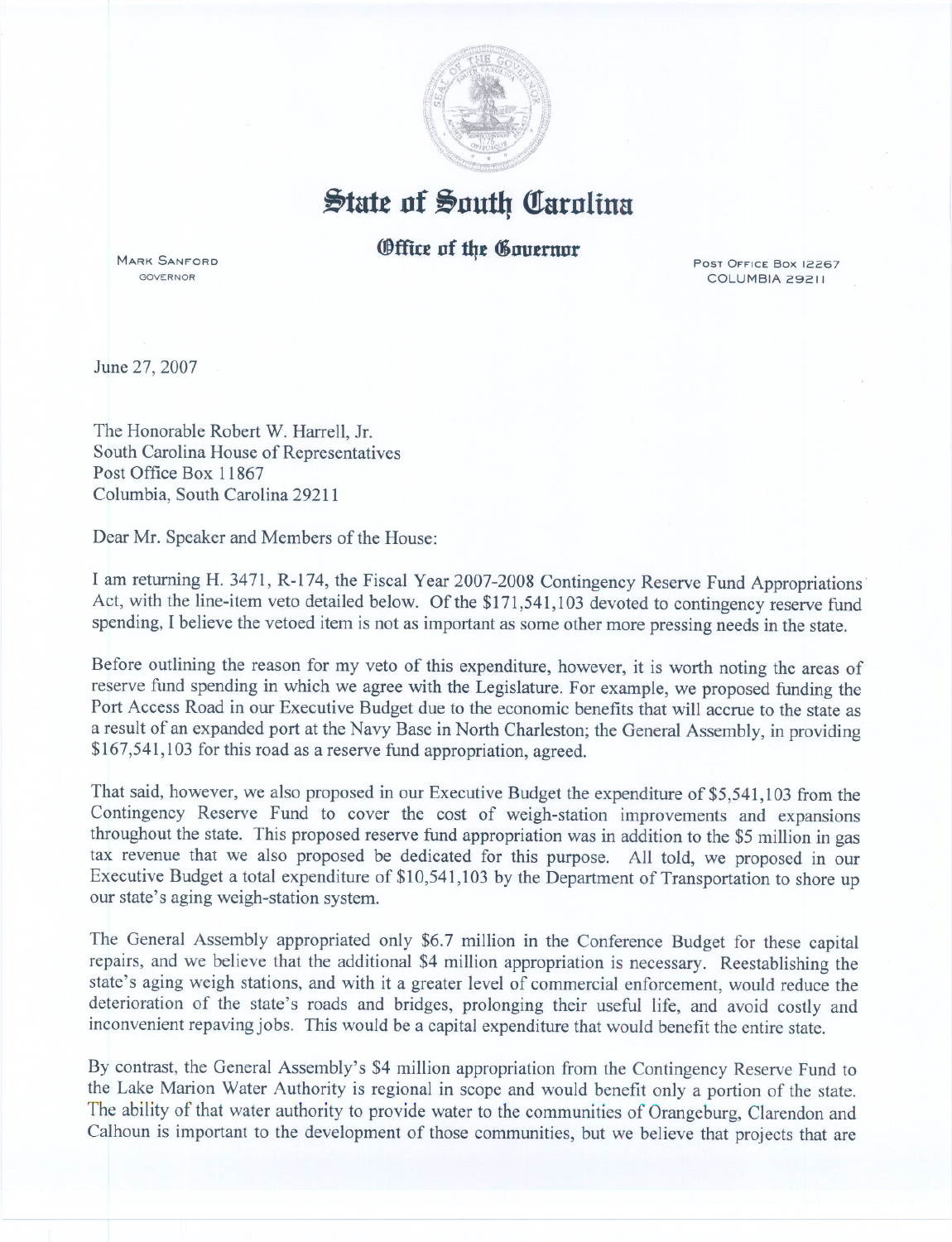

## $\frac{1}{2}$ tate of South Carolina

## **Office of the Gouernor**

MARK SANFORD GOVERNOR

COLUMBIA 29211

June 27, 2007

The Honorable Robert W. Harrell, Jr. South Carolina House of Representatives Post Office Box 11867 Columbia, South Carolina 29211

Dear Mr. Speaker and Members of the House:

I am returning H. 3471, R-174, the Fiscal Year 2007-2008 Contingency Reserve Fund Appropriations Act, with the line-item veto detailed below. Of the \$171,541,103 devoted to contingency reserve fund spending, I believe the vetoed item is not as important as some other more pressing needs in the state.

Before outlining the reason for my veto of this expenditure, however, it is worth noting the areas of reserve fund spending in which we agree with the Legislature. For example, we proposed funding the Port Access Road in our Executive Budget due to the economic benefits that will accrue to the state as a result of an expanded port at the Navy Base in North Charleston; the General Assembly, in providing \$167,541,103 for this road as a reserve fund appropriation, agreed.

That said, however, we also proposed in our Executive Budget the expenditure of \$5,541,103 from the Contingency Reserve Fund to cover the cost of weigh-station improvements and expansions throughout the state. This proposed reserve fund appropriation was in addition to the \$5 million in gas tax revenue that we also proposed be dedicated for this purpose. All told, we proposed in our Executive Budget a total expenditure of \$10,541,103 by the Department of Transportation to shore up our state's aging weigh-station system.

The General Assembly appropriated only \$6.7 million in the Conference Budget for these capital repairs, and we believe that the additional \$4 million appropriation is necessary. Reestablishing the state's aging weigh stations, and with it a greater level of commercial enforcement, would reduce the deterioration of the state's roads and bridges, prolonging their useful life, and avoid costly and inconvenient repaving jobs. This would be a capital expenditure that would benefit the entire state.

By contrast, the General Assembly's \$4 million appropriation from the Contingency Reserve Fund to the Lake Marion Water Authority is regional in scope and would benefit only a portion of the state. The ability of that water authority to provide water to the communities of Orangeburg, Clarendon and Calhoun is important to the development of those communities, but we believe that projects that are